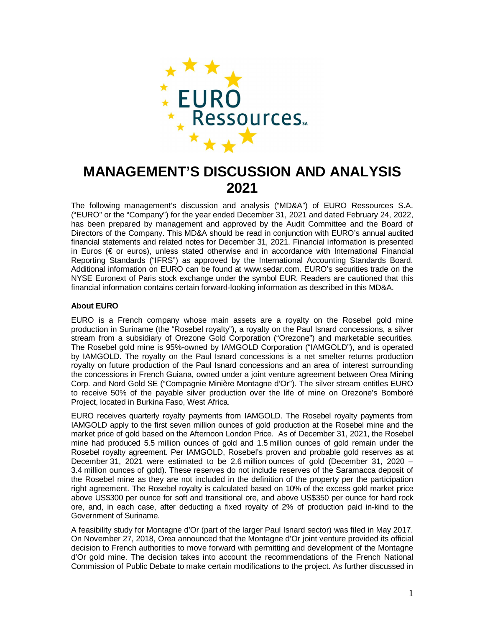

# **MANAGEMENT'S DISCUSSION AND ANALYSIS 2021**

The following management's discussion and analysis ("MD&A") of EURO Ressources S.A. ("EURO" or the "Company") for the year ended December 31, 2021 and dated February 24, 2022, has been prepared by management and approved by the Audit Committee and the Board of Directors of the Company. This MD&A should be read in conjunction with EURO's annual audited financial statements and related notes for December 31, 2021. Financial information is presented in Euros (€ or euros), unless stated otherwise and in accordance with International Financial Reporting Standards ("IFRS") as approved by the International Accounting Standards Board. Additional information on EURO can be found at www.sedar.com. EURO's securities trade on the NYSE Euronext of Paris stock exchange under the symbol EUR. Readers are cautioned that this financial information contains certain forward-looking information as described in this MD&A.

## **About EURO**

EURO is a French company whose main assets are a royalty on the Rosebel gold mine production in Suriname (the "Rosebel royalty"), a royalty on the Paul Isnard concessions, a silver stream from a subsidiary of Orezone Gold Corporation ("Orezone") and marketable securities. The Rosebel gold mine is 95%-owned by IAMGOLD Corporation ("IAMGOLD"), and is operated by IAMGOLD. The royalty on the Paul Isnard concessions is a net smelter returns production royalty on future production of the Paul Isnard concessions and an area of interest surrounding the concessions in French Guiana, owned under a joint venture agreement between Orea Mining Corp. and Nord Gold SE ("Compagnie Minière Montagne d'Or"). The silver stream entitles EURO to receive 50% of the payable silver production over the life of mine on Orezone's Bomboré Project, located in Burkina Faso, West Africa.

EURO receives quarterly royalty payments from IAMGOLD. The Rosebel royalty payments from IAMGOLD apply to the first seven million ounces of gold production at the Rosebel mine and the market price of gold based on the Afternoon London Price. As of December 31, 2021, the Rosebel mine had produced 5.5 million ounces of gold and 1.5 million ounces of gold remain under the Rosebel royalty agreement. Per IAMGOLD, Rosebel's proven and probable gold reserves as at December 31, 2021 were estimated to be 2.6 million ounces of gold (December 31, 2020 – 3.4 million ounces of gold). These reserves do not include reserves of the Saramacca deposit of the Rosebel mine as they are not included in the definition of the property per the participation right agreement. The Rosebel royalty is calculated based on 10% of the excess gold market price above US\$300 per ounce for soft and transitional ore, and above US\$350 per ounce for hard rock ore, and, in each case, after deducting a fixed royalty of 2% of production paid in-kind to the Government of Suriname.

A feasibility study for Montagne d'Or (part of the larger Paul Isnard sector) was filed in May 2017. On November 27, 2018, Orea announced that the Montagne d'Or joint venture provided its official decision to French authorities to move forward with permitting and development of the Montagne d'Or gold mine. The decision takes into account the recommendations of the French National Commission of Public Debate to make certain modifications to the project. As further discussed in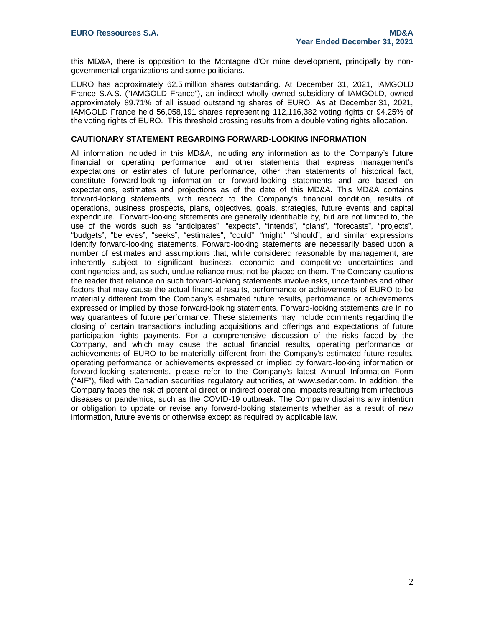this MD&A, there is opposition to the Montagne d'Or mine development, principally by nongovernmental organizations and some politicians.

EURO has approximately 62.5 million shares outstanding. At December 31, 2021, IAMGOLD France S.A.S. ("IAMGOLD France"), an indirect wholly owned subsidiary of IAMGOLD, owned approximately 89.71% of all issued outstanding shares of EURO. As at December 31, 2021, IAMGOLD France held 56,058,191 shares representing 112,116,382 voting rights or 94.25% of the voting rights of EURO. This threshold crossing results from a double voting rights allocation.

#### **CAUTIONARY STATEMENT REGARDING FORWARD-LOOKING INFORMATION**

All information included in this MD&A, including any information as to the Company's future financial or operating performance, and other statements that express management's expectations or estimates of future performance, other than statements of historical fact, constitute forward-looking information or forward-looking statements and are based on expectations, estimates and projections as of the date of this MD&A. This MD&A contains forward-looking statements, with respect to the Company's financial condition, results of operations, business prospects, plans, objectives, goals, strategies, future events and capital expenditure. Forward-looking statements are generally identifiable by, but are not limited to, the use of the words such as "anticipates", "expects", "intends", "plans", "forecasts", "projects", "budgets", "believes", "seeks", "estimates", "could", "might", "should", and similar expressions identify forward-looking statements. Forward-looking statements are necessarily based upon a number of estimates and assumptions that, while considered reasonable by management, are inherently subject to significant business, economic and competitive uncertainties and contingencies and, as such, undue reliance must not be placed on them. The Company cautions the reader that reliance on such forward-looking statements involve risks, uncertainties and other factors that may cause the actual financial results, performance or achievements of EURO to be materially different from the Company's estimated future results, performance or achievements expressed or implied by those forward-looking statements. Forward-looking statements are in no way guarantees of future performance. These statements may include comments regarding the closing of certain transactions including acquisitions and offerings and expectations of future participation rights payments. For a comprehensive discussion of the risks faced by the Company, and which may cause the actual financial results, operating performance or achievements of EURO to be materially different from the Company's estimated future results, operating performance or achievements expressed or implied by forward-looking information or forward-looking statements, please refer to the Company's [latest Annual In](http://www.sedar.com/)formation Form ("AIF"), filed with Canadian securities regulatory authorities, at www.sedar.com. In addition, the Company faces the risk of potential direct or indirect operational impacts resulting from infectious diseases or pandemics, such as the COVID-19 outbreak. The Company disclaims any intention or obligation to update or revise any forward-looking statements whether as a result of new information, future events or otherwise except as required by applicable law.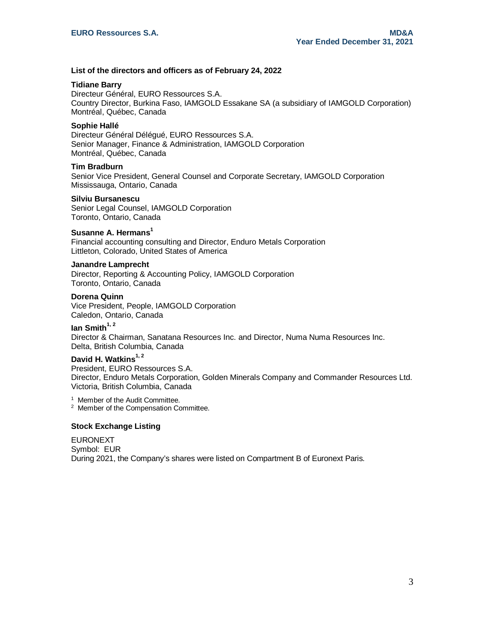## **List of the directors and officers as of February 24, 2022**

#### **Tidiane Barry**

Directeur Général, EURO Ressources S.A. Country Director, Burkina Faso, IAMGOLD Essakane SA (a subsidiary of IAMGOLD Corporation) Montréal, Québec, Canada

## **Sophie Hallé**

Directeur Général Délégué, EURO Ressources S.A. Senior Manager, Finance & Administration, IAMGOLD Corporation Montréal, Québec, Canada

## **Tim Bradburn**

Senior Vice President, General Counsel and Corporate Secretary, IAMGOLD Corporation Mississauga, Ontario, Canada

#### **Silviu Bursanescu**

Senior Legal Counsel, IAMGOLD Corporation Toronto, Ontario, Canada

## **Susanne A. Hermans<sup>1</sup>**

Financial accounting consulting and Director, Enduro Metals Corporation Littleton, Colorado, United States of America

#### **Janandre Lamprecht**

Director, Reporting & Accounting Policy, IAMGOLD Corporation Toronto, Ontario, Canada

#### **Dorena Quinn**

Vice President, People, IAMGOLD Corporation Caledon, Ontario, Canada

# **Ian Smith1, 2**

Director & Chairman, Sanatana Resources Inc. and Director, Numa Numa Resources Inc. Delta, British Columbia, Canada

# **David H. Watkins1, 2**

President, EURO Ressources S.A. Director, Enduro Metals Corporation, Golden Minerals Company and Commander Resources Ltd. Victoria, British Columbia, Canada

<sup>1</sup> Member of the Audit Committee.

<sup>2</sup> Member of the Compensation Committee.

#### **Stock Exchange Listing**

EURONEXT Symbol: EUR During 2021, the Company's shares were listed on Compartment B of Euronext Paris.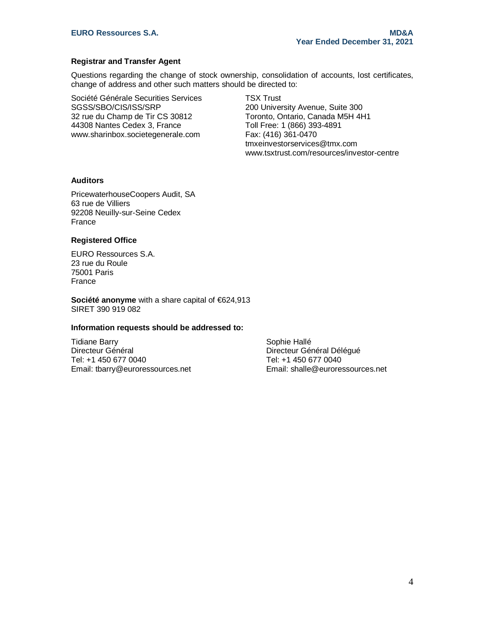## **Registrar and Transfer Agent**

Questions regarding the change of stock ownership, consolidation of accounts, lost certificates, change of address and other such matters should be directed to:

Société Générale Securities Services SGSS/SBO/CIS/ISS/SRP 32 rue du Champ de Tir CS 30812 44308 Nantes Cedex 3, France [www.sharinbox.societegenerale.com](http://www.sharinbox.societegenerale.com/)

TSX Trust 200 University Avenue, Suite 300 Toronto, Ontario, Canada M5H 4H1 Toll Free: 1 (866) 393-4891 Fax: (416) 361-0470 [tmxeinvestorservices@tmx.com](mailto:tmxeinvestorservices@tmx.com) [www.tsxtrust.com/resources/investor-centre](http://www.tsxtrust.com/resources/investor-centre)

## **Auditors**

PricewaterhouseCoopers Audit, SA 63 rue de Villiers 92208 Neuilly-sur-Seine Cedex France

## **Registered Office**

EURO Ressources S.A. 23 rue du Roule 75001 Paris France

**Société anonyme** with a share capital of €624,913 SIRET 390 919 082

## **Information requests should be addressed to:**

Tidiane Barry Directeur Général Tel: +1 450 677 0040 Email: tbarry@euroressources.net

Sophie Hallé Directeur Général Délégué Tel: +1 450 677 0040 Email: shalle@euroressources.net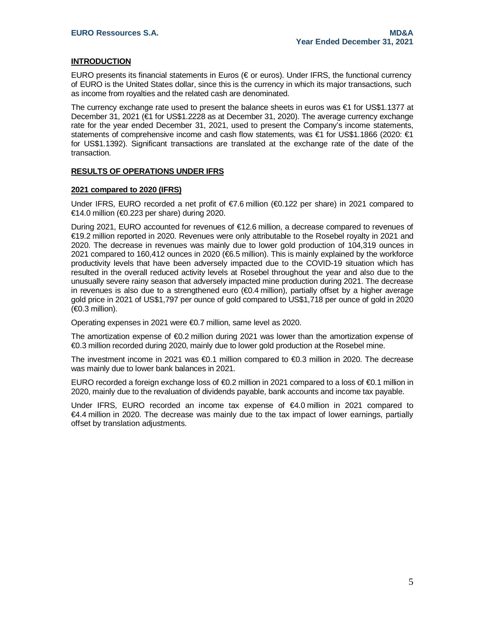## **INTRODUCTION**

EURO presents its financial statements in Euros (€ or euros). Under IFRS, the functional currency of EURO is the United States dollar, since this is the currency in which its major transactions, such as income from royalties and the related cash are denominated.

The currency exchange rate used to present the balance sheets in euros was €1 for US\$1.1377 at December 31, 2021 (€1 for US\$1.2228 as at December 31, 2020). The average currency exchange rate for the year ended December 31, 2021, used to present the Company's income statements, statements of comprehensive income and cash flow statements, was €1 for US\$1.1866 (2020: €1 for US\$1.1392). Significant transactions are translated at the exchange rate of the date of the transaction.

#### **RESULTS OF OPERATIONS UNDER IFRS**

#### **2021 compared to 2020 (IFRS)**

Under IFRS, EURO recorded a net profit of  $\epsilon$ 7.6 million ( $\epsilon$ 0.122 per share) in 2021 compared to €14.0 million (€0.223 per share) during 2020.

During 2021, EURO accounted for revenues of €12.6 million, a decrease compared to revenues of €19.2 million reported in 2020. Revenues were only attributable to the Rosebel royalty in 2021 and 2020. The decrease in revenues was mainly due to lower gold production of 104,319 ounces in 2021 compared to 160,412 ounces in 2020 (€6.5 million). This is mainly explained by the workforce productivity levels that have been adversely impacted due to the COVID-19 situation which has resulted in the overall reduced activity levels at Rosebel throughout the year and also due to the unusually severe rainy season that adversely impacted mine production during 2021. The decrease in revenues is also due to a strengthened euro (€0.4 million), partially offset by a higher average gold price in 2021 of US\$1,797 per ounce of gold compared to US\$1,718 per ounce of gold in 2020  $(60.3 \text{ million})$ .

Operating expenses in 2021 were €0.7 million, same level as 2020.

The amortization expense of €0.2 million during 2021 was lower than the amortization expense of €0.3 million recorded during 2020, mainly due to lower gold production at the Rosebel mine.

The investment income in 2021 was €0.1 million compared to €0.3 million in 2020. The decrease was mainly due to lower bank balances in 2021.

EURO recorded a foreign exchange loss of €0.2 million in 2021 compared to a loss of €0.1 million in 2020, mainly due to the revaluation of dividends payable, bank accounts and income tax payable.

Under IFRS, EURO recorded an income tax expense of €4.0 million in 2021 compared to €4.4 million in 2020. The decrease was mainly due to the tax impact of lower earnings, partially offset by translation adjustments.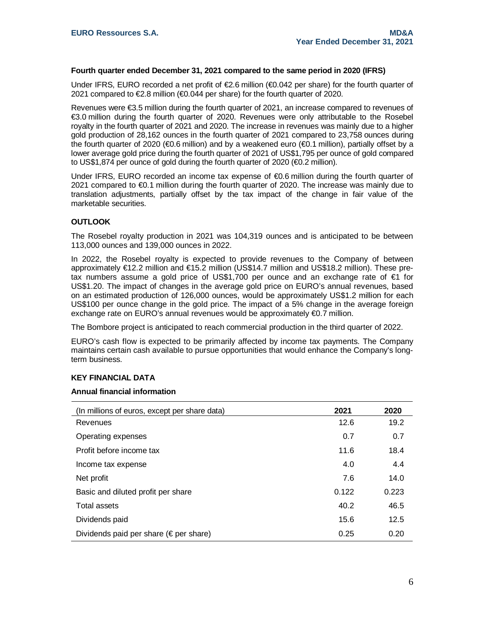#### **Fourth quarter ended December 31, 2021 compared to the same period in 2020 (IFRS)**

Under IFRS, EURO recorded a net profit of  $\epsilon$ 2.6 million ( $\epsilon$ 0.042 per share) for the fourth quarter of 2021 compared to €2.8 million (€0.044 per share) for the fourth quarter of 2020.

Revenues were €3.5 million during the fourth quarter of 2021, an increase compared to revenues of €3.0 million during the fourth quarter of 2020. Revenues were only attributable to the Rosebel royalty in the fourth quarter of 2021 and 2020. The increase in revenues was mainly due to a higher gold production of 28,162 ounces in the fourth quarter of 2021 compared to 23,758 ounces during the fourth quarter of 2020 (€0.6 million) and by a weakened euro (€0.1 million), partially offset by a lower average gold price during the fourth quarter of 2021 of US\$1,795 per ounce of gold compared to US\$1,874 per ounce of gold during the fourth quarter of 2020 (€0.2 million).

Under IFRS, EURO recorded an income tax expense of €0.6 million during the fourth quarter of 2021 compared to €0.1 million during the fourth quarter of 2020. The increase was mainly due to translation adjustments, partially offset by the tax impact of the change in fair value of the marketable securities.

#### **OUTLOOK**

The Rosebel royalty production in 2021 was 104,319 ounces and is anticipated to be between 113,000 ounces and 139,000 ounces in 2022.

In 2022, the Rosebel royalty is expected to provide revenues to the Company of between approximately €12.2 million and €15.2 million (US\$14.7 million and US\$18.2 million). These pretax numbers assume a gold price of US\$1,700 per ounce and an exchange rate of €1 for US\$1.20. The impact of changes in the average gold price on EURO's annual revenues, based on an estimated production of 126,000 ounces, would be approximately US\$1.2 million for each US\$100 per ounce change in the gold price. The impact of a 5% change in the average foreign exchange rate on EURO's annual revenues would be approximately €0.7 million.

The Bombore project is anticipated to reach commercial production in the third quarter of 2022.

EURO's cash flow is expected to be primarily affected by income tax payments. The Company maintains certain cash available to pursue opportunities that would enhance the Company's longterm business.

#### **KEY FINANCIAL DATA**

## **Annual financial information**

| (In millions of euros, except per share data)    | 2021  | 2020  |
|--------------------------------------------------|-------|-------|
| Revenues                                         | 12.6  | 19.2  |
| Operating expenses                               | 0.7   | 0.7   |
| Profit before income tax                         | 11.6  | 18.4  |
| Income tax expense                               | 4.0   | 4.4   |
| Net profit                                       | 7.6   | 14.0  |
| Basic and diluted profit per share               | 0.122 | 0.223 |
| Total assets                                     | 40.2  | 46.5  |
| Dividends paid                                   | 15.6  | 12.5  |
| Dividends paid per share ( $\epsilon$ per share) | 0.25  | 0.20  |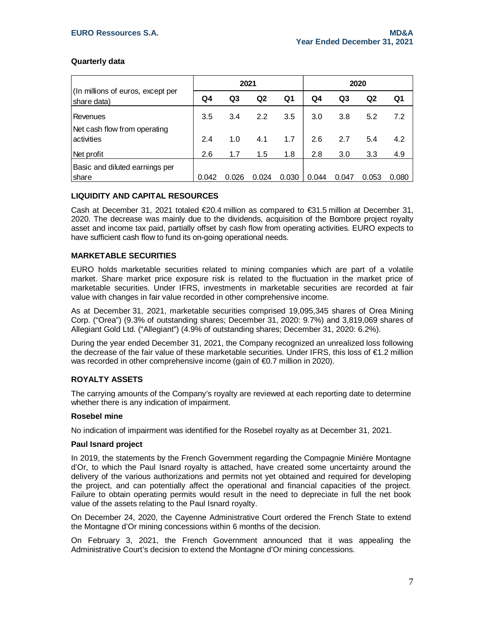## **Quarterly data**

|                                                  | 2021  |       |       |       | 2020  |       |       |       |
|--------------------------------------------------|-------|-------|-------|-------|-------|-------|-------|-------|
| (In millions of euros, except per<br>share data) | Q4    | Q3    | Q2    | Q1    | Q4    | Q3    | Q2    | Q1    |
| Revenues                                         | 3.5   | 3.4   | 2.2   | 3.5   | 3.0   | 3.8   | 5.2   | 7.2   |
| Net cash flow from operating<br>activities       | 2.4   | 1.0   | 4.1   | 1.7   | 2.6   | 2.7   | 5.4   | 4.2   |
| Net profit                                       | 2.6   | 1.7   | 1.5   | 1.8   | 2.8   | 3.0   | 3.3   | 4.9   |
| Basic and diluted earnings per<br>share          | 0.042 | 0.026 | 0.024 | 0.030 | 0.044 | 0.047 | 0.053 | 0.080 |

# **LIQUIDITY AND CAPITAL RESOURCES**

Cash at December 31, 2021 totaled €20.4 million as compared to €31.5 million at December 31, 2020. The decrease was mainly due to the dividends, acquisition of the Bombore project royalty asset and income tax paid, partially offset by cash flow from operating activities. EURO expects to have sufficient cash flow to fund its on-going operational needs.

# **MARKETABLE SECURITIES**

EURO holds marketable securities related to mining companies which are part of a volatile market. Share market price exposure risk is related to the fluctuation in the market price of marketable securities. Under IFRS, investments in marketable securities are recorded at fair value with changes in fair value recorded in other comprehensive income.

As at December 31, 2021, marketable securities comprised 19,095,345 shares of Orea Mining Corp. ("Orea") (9.3% of outstanding shares; December 31, 2020: 9.7%) and 3,819,069 shares of Allegiant Gold Ltd. ("Allegiant") (4.9% of outstanding shares; December 31, 2020: 6.2%).

During the year ended December 31, 2021, the Company recognized an unrealized loss following the decrease of the fair value of these marketable securities. Under IFRS, this loss of €1.2 million was recorded in other comprehensive income (gain of €0.7 million in 2020).

## **ROYALTY ASSETS**

The carrying amounts of the Company's royalty are reviewed at each reporting date to determine whether there is any indication of impairment.

#### **Rosebel mine**

No indication of impairment was identified for the Rosebel royalty as at December 31, 2021.

#### **Paul Isnard project**

In 2019, the statements by the French Government regarding the Compagnie Minière Montagne d'Or, to which the Paul Isnard royalty is attached, have created some uncertainty around the delivery of the various authorizations and permits not yet obtained and required for developing the project, and can potentially affect the operational and financial capacities of the project. Failure to obtain operating permits would result in the need to depreciate in full the net book value of the assets relating to the Paul Isnard royalty.

On December 24, 2020, the Cayenne Administrative Court ordered the French State to extend the Montagne d'Or mining concessions within 6 months of the decision.

On February 3, 2021, the French Government announced that it was appealing the Administrative Court's decision to extend the Montagne d'Or mining concessions.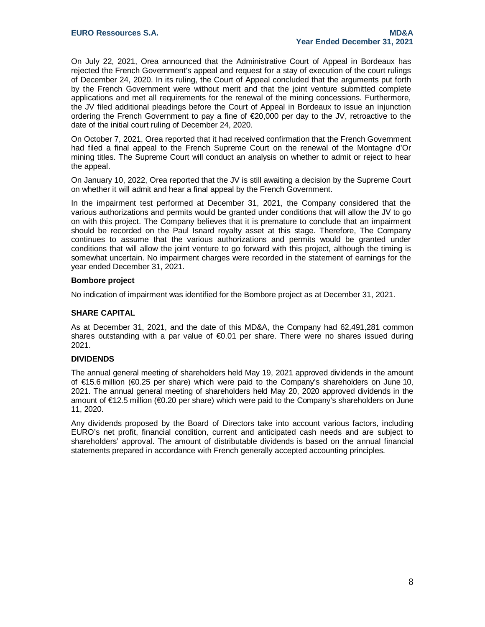On July 22, 2021, Orea announced that the Administrative Court of Appeal in Bordeaux has rejected the French Government's appeal and request for a stay of execution of the court rulings of December 24, 2020. In its ruling, the Court of Appeal concluded that the arguments put forth by the French Government were without merit and that the joint venture submitted complete applications and met all requirements for the renewal of the mining concessions. Furthermore, the JV filed additional pleadings before the Court of Appeal in Bordeaux to issue an injunction ordering the French Government to pay a fine of €20,000 per day to the JV, retroactive to the date of the initial court ruling of December 24, 2020.

On October 7, 2021, Orea reported that it had received confirmation that the French Government had filed a final appeal to the French Supreme Court on the renewal of the Montagne d'Or mining titles. The Supreme Court will conduct an analysis on whether to admit or reject to hear the appeal.

On January 10, 2022, Orea reported that the JV is still awaiting a decision by the Supreme Court on whether it will admit and hear a final appeal by the French Government.

In the impairment test performed at December 31, 2021, the Company considered that the various authorizations and permits would be granted under conditions that will allow the JV to go on with this project. The Company believes that it is premature to conclude that an impairment should be recorded on the Paul Isnard royalty asset at this stage. Therefore, The Company continues to assume that the various authorizations and permits would be granted under conditions that will allow the joint venture to go forward with this project, although the timing is somewhat uncertain. No impairment charges were recorded in the statement of earnings for the year ended December 31, 2021.

#### **Bombore project**

No indication of impairment was identified for the Bombore project as at December 31, 2021.

#### **SHARE CAPITAL**

As at December 31, 2021, and the date of this MD&A, the Company had 62,491,281 common shares outstanding with a par value of €0.01 per share. There were no shares issued during 2021.

#### **DIVIDENDS**

The annual general meeting of shareholders held May 19, 2021 approved dividends in the amount of €15.6 million (€0.25 per share) which were paid to the Company's shareholders on June 10, 2021. The annual general meeting of shareholders held May 20, 2020 approved dividends in the amount of €12.5 million (€0.20 per share) which were paid to the Company's shareholders on June 11, 2020.

Any dividends proposed by the Board of Directors take into account various factors, including EURO's net profit, financial condition, current and anticipated cash needs and are subject to shareholders' approval. The amount of distributable dividends is based on the annual financial statements prepared in accordance with French generally accepted accounting principles.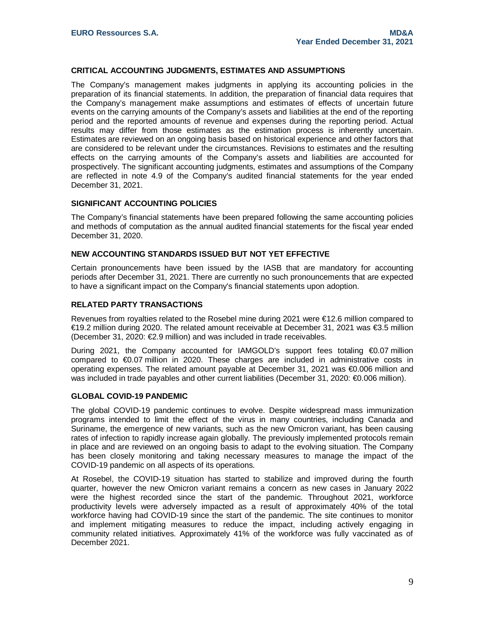#### **CRITICAL ACCOUNTING JUDGMENTS, ESTIMATES AND ASSUMPTIONS**

The Company's management makes judgments in applying its accounting policies in the preparation of its financial statements. In addition, the preparation of financial data requires that the Company's management make assumptions and estimates of effects of uncertain future events on the carrying amounts of the Company's assets and liabilities at the end of the reporting period and the reported amounts of revenue and expenses during the reporting period. Actual results may differ from those estimates as the estimation process is inherently uncertain. Estimates are reviewed on an ongoing basis based on historical experience and other factors that are considered to be relevant under the circumstances. Revisions to estimates and the resulting effects on the carrying amounts of the Company's assets and liabilities are accounted for prospectively. The significant accounting judgments, estimates and assumptions of the Company are reflected in note 4.9 of the Company's audited financial statements for the year ended December 31, 2021.

#### **SIGNIFICANT ACCOUNTING POLICIES**

The Company's financial statements have been prepared following the same accounting policies and methods of computation as the annual audited financial statements for the fiscal year ended December 31, 2020.

#### **NEW ACCOUNTING STANDARDS ISSUED BUT NOT YET EFFECTIVE**

Certain pronouncements have been issued by the IASB that are mandatory for accounting periods after December 31, 2021. There are currently no such pronouncements that are expected to have a significant impact on the Company's financial statements upon adoption.

#### **RELATED PARTY TRANSACTIONS**

Revenues from royalties related to the Rosebel mine during 2021 were €12.6 million compared to €19.2 million during 2020. The related amount receivable at December 31, 2021 was €3.5 million (December 31, 2020: €2.9 million) and was included in trade receivables.

During 2021, the Company accounted for IAMGOLD's support fees totaling €0.07 million compared to €0.07 million in 2020. These charges are included in administrative costs in operating expenses. The related amount payable at December 31, 2021 was €0.006 million and was included in trade payables and other current liabilities (December 31, 2020: €0.006 million).

#### **GLOBAL COVID-19 PANDEMIC**

The global COVID-19 pandemic continues to evolve. Despite widespread mass immunization programs intended to limit the effect of the virus in many countries, including Canada and Suriname, the emergence of new variants, such as the new Omicron variant, has been causing rates of infection to rapidly increase again globally. The previously implemented protocols remain in place and are reviewed on an ongoing basis to adapt to the evolving situation. The Company has been closely monitoring and taking necessary measures to manage the impact of the COVID-19 pandemic on all aspects of its operations.

At Rosebel, the COVID-19 situation has started to stabilize and improved during the fourth quarter, however the new Omicron variant remains a concern as new cases in January 2022 were the highest recorded since the start of the pandemic. Throughout 2021, workforce productivity levels were adversely impacted as a result of approximately 40% of the total workforce having had COVID-19 since the start of the pandemic. The site continues to monitor and implement mitigating measures to reduce the impact, including actively engaging in community related initiatives. Approximately 41% of the workforce was fully vaccinated as of December 2021.